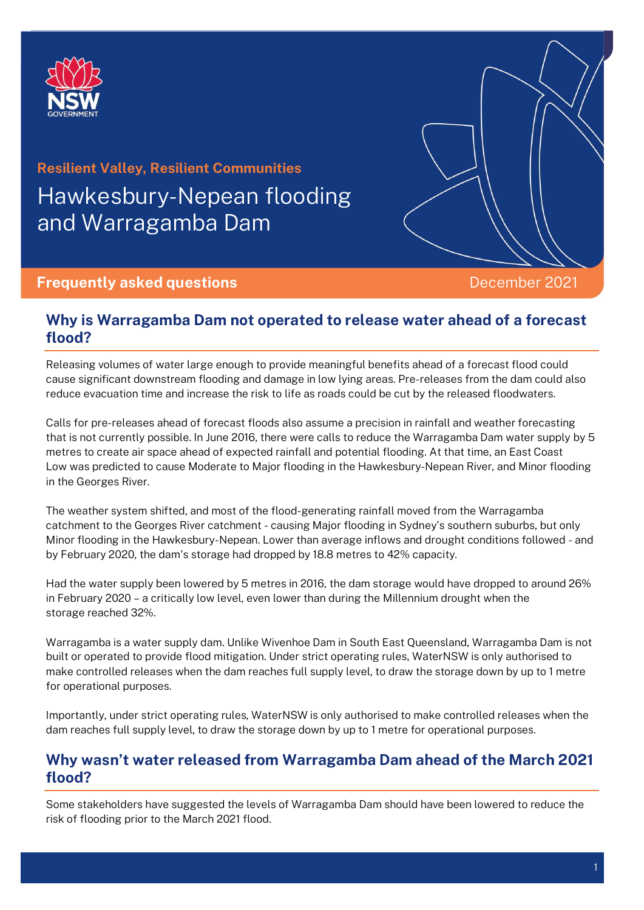

# **Resilient Valley, Resilient Communities** Hawkesbury-Nepean flooding and Warragamba Dam

#### **Frequently asked questions December 2021**

## **Why is Warragamba Dam not operated to release water ahead of a forecast flood?**

Releasing volumes of water large enough to provide meaningful benefits ahead of a forecast flood could cause significant downstream flooding and damage in low lying areas. Pre-releases from the dam could also reduce evacuation time and increase the risk to life as roads could be cut by the released floodwaters.

Calls for pre-releases ahead of forecast floods also assume a precision in rainfall and weather forecasting that is not currently possible. In June 2016, there were calls to reduce the Warragamba Dam water supply by 5 metres to create air space ahead of expected rainfall and potential flooding. At that time, an East Coast Low was predicted to cause Moderate to Major flooding in the Hawkesbury-Nepean River, and Minor flooding in the Georges River.

The weather system shifted, and most of the flood-generating rainfall moved from the Warragamba catchment to the Georges River catchment - causing Major flooding in Sydney's southern suburbs, but only Minor flooding in the Hawkesbury-Nepean. Lower than average inflows and drought conditions followed - and by February 2020, the dam's storage had dropped by 18.8 metres to 42% capacity.

Had the water supply been lowered by 5 metres in 2016, the dam storage would have dropped to around 26% in February 2020 – a critically low level, even lower than during the Millennium drought when the storage reached 32%.

Warragamba is a water supply dam. Unlike Wivenhoe Dam in South East Queensland, Warragamba Dam is not built or operated to provide flood mitigation. Under strict operating rules, WaterNSW is only authorised to make controlled releases when the dam reaches full supply level, to draw the storage down by up to 1 metre for operational purposes.

Importantly, under strict operating rules, WaterNSW is only authorised to make controlled releases when the dam reaches full supply level, to draw the storage down by up to 1 metre for operational purposes.

### **Why wasn't water released from Warragamba Dam ahead of the March 2021 flood?**

Some stakeholders have suggested the levels of Warragamba Dam should have been lowered to reduce the risk of flooding prior to the March 2021 flood.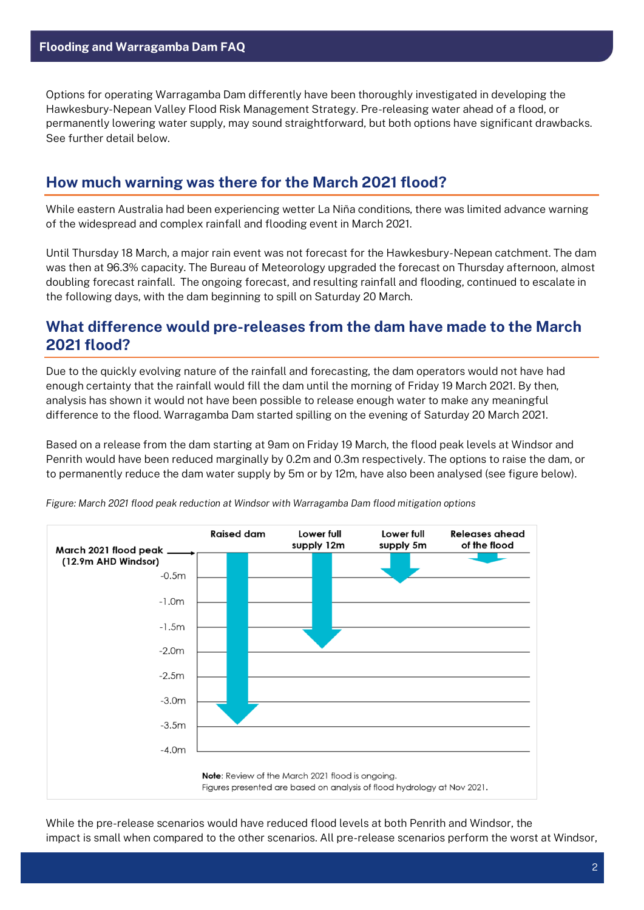Options for operating Warragamba Dam differently have been thoroughly investigated in developing the Hawkesbury-Nepean Valley Flood Risk Management Strategy. Pre-releasing water ahead of a flood, or permanently lowering water supply, may sound straightforward, but both options have significant drawbacks. See further detail below.

# **How much warning was there for the March 2021 flood?**

While eastern Australia had been experiencing wetter La Niña conditions, there was limited advance warning of the widespread and complex rainfall and flooding event in March 2021.

Until Thursday 18 March, a major rain event was not forecast for the Hawkesbury-Nepean catchment. The dam was then at 96.3% capacity. The Bureau of Meteorology upgraded the forecast on Thursday afternoon, almost doubling forecast rainfall. The ongoing forecast, and resulting rainfall and flooding, continued to escalate in the following days, with the dam beginning to spill on Saturday 20 March.

## **What difference would pre-releases from the dam have made to the March 2021 flood?**

Due to the quickly evolving nature of the rainfall and forecasting, the dam operators would not have had enough certainty that the rainfall would fill the dam until the morning of Friday 19 March 2021. By then, analysis has shown it would not have been possible to release enough water to make any meaningful difference to the flood. Warragamba Dam started spilling on the evening of Saturday 20 March 2021.

Based on a release from the dam starting at 9am on Friday 19 March, the flood peak levels at Windsor and Penrith would have been reduced marginally by 0.2m and 0.3m respectively. The options to raise the dam, or to permanently reduce the dam water supply by 5m or by 12m, have also been analysed (see figure below).



*Figure: March 2021 flood peak reduction at Windsor with Warragamba Dam flood mitigation options*

While the pre-release scenarios would have reduced flood levels at both Penrith and Windsor, the impact is small when compared to the other scenarios. All pre-release scenarios perform the worst at Windsor,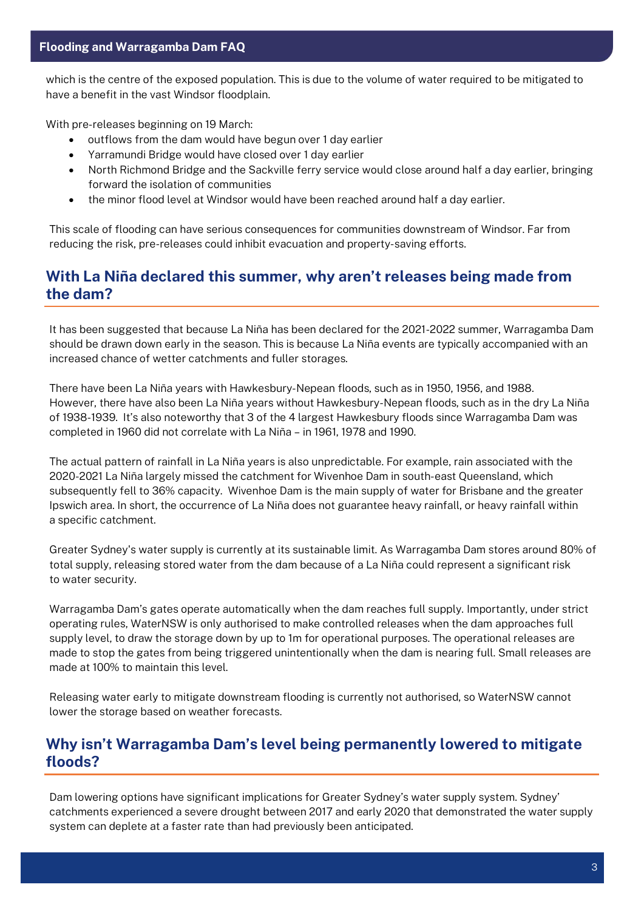which is the centre of the exposed population. This is due to the volume of water required to be mitigated to have a benefit in the vast Windsor floodplain.

With pre-releases beginning on 19 March:

- outflows from the dam would have begun over 1 day earlier
- Yarramundi Bridge would have closed over 1 day earlier
- North Richmond Bridge and the Sackville ferry service would close around half a day earlier, bringing forward the isolation of communities
- the minor flood level at Windsor would have been reached around half a day earlier.

This scale of flooding can have serious consequences for communities downstream of Windsor. Far from reducing the risk, pre-releases could inhibit evacuation and property-saving efforts.

## **With La Niña declared this summer, why aren't releases being made from the dam?**

It has been suggested that because La Niña has been declared for the 2021-2022 summer, Warragamba Dam should be drawn down early in the season. This is because La Niña events are typically accompanied with an increased chance of wetter catchments and fuller storages.

There have been La Niña years with Hawkesbury-Nepean floods, such as in 1950, 1956, and 1988. However, there have also been La Niña years without Hawkesbury-Nepean floods, such as in the dry La Niña of 1938-1939. It's also noteworthy that 3 of the 4 largest Hawkesbury floods since Warragamba Dam was completed in 1960 did not correlate with La Niña – in 1961, 1978 and 1990.

The actual pattern of rainfall in La Niña years is also unpredictable. For example, rain associated with the 2020-2021 La Niña largely missed the catchment for Wivenhoe Dam in south-east Queensland, which subsequently fell to 36% capacity. Wivenhoe Dam is the main supply of water for Brisbane and the greater Ipswich area. In short, the occurrence of La Niña does not guarantee heavy rainfall, or heavy rainfall within a specific catchment.

Greater Sydney's water supply is currently at its sustainable limit. As Warragamba Dam stores around 80% of total supply, releasing stored water from the dam because of a La Niña could represent a significant risk to water security.

Warragamba Dam's gates operate automatically when the dam reaches full supply. Importantly, under strict operating rules, WaterNSW is only authorised to make controlled releases when the dam approaches full supply level, to draw the storage down by up to 1m for operational purposes. The operational releases are made to stop the gates from being triggered unintentionally when the dam is nearing full. Small releases are made at 100% to maintain this level.

Releasing water early to mitigate downstream flooding is currently not authorised, so WaterNSW cannot lower the storage based on weather forecasts.

## **Why isn't Warragamba Dam's level being permanently lowered to mitigate floods?**

Dam lowering options have significant implications for Greater Sydney's water supply system. Sydney' catchments experienced a severe drought between 2017 and early 2020 that demonstrated the water supply system can deplete at a faster rate than had previously been anticipated.